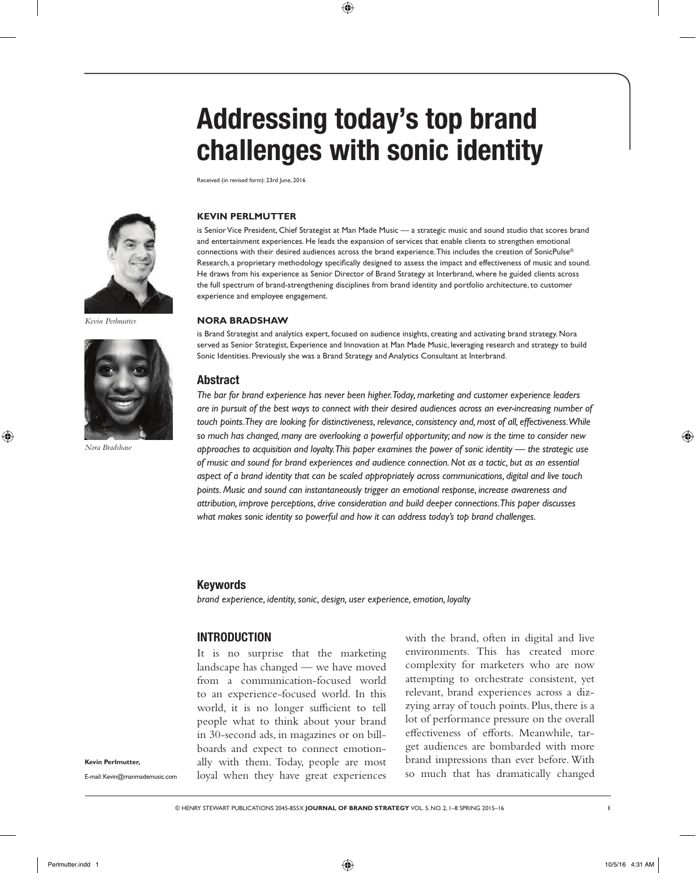# Addressing today's top brand challenges with sonic identity

Received (in revised form): 23rd June, 2016



*Kevin Perlmutter*



*Nora Bradshaw*

#### **Kevin Perlmutter**

is Senior Vice President, Chief Strategist at Man Made Music — a strategic music and sound studio that scores brand and entertainment experiences. He leads the expansion of services that enable clients to strengthen emotional connections with their desired audiences across the brand experience. This includes the creation of SonicPulse® Research, a proprietary methodology specifically designed to assess the impact and effectiveness of music and sound. He draws from his experience as Senior Director of Brand Strategy at Interbrand, where he guided clients across the full spectrum of brand-strengthening disciplines from brand identity and portfolio architecture, to customer experience and employee engagement.

#### **Nora Bradshaw**

is Brand Strategist and analytics expert, focused on audience insights, creating and activating brand strategy. Nora served as Senior Strategist, Experience and Innovation at Man Made Music, leveraging research and strategy to build Sonic Identities. Previously she was a Brand Strategy and Analytics Consultant at Interbrand.

#### Abstract

*The bar for brand experience has never been higher. Today, marketing and customer experience leaders are in pursuit of the best ways to connect with their desired audiences across an ever-increasing number of*  touch points. They are looking for distinctiveness, relevance, consistency and, most of all, effectiveness. While *so much has changed, many are overlooking a powerful opportunity; and now is the time to consider new approaches to acquisition and loyalty. This paper examines the power of sonic identity — the strategic use of music and sound for brand experiences and audience connection. Not as a tactic, but as an essential aspect of a brand identity that can be scaled appropriately across communications, digital and live touch points. Music and sound can instantaneously trigger an emotional response, increase awareness and attribution, improve perceptions, drive consideration and build deeper connections. This paper discusses what makes sonic identity so powerful and how it can address today's top brand challenges.*

#### Keywords

*brand experience, identity, sonic, design, user experience, emotion, loyalty*

# **INTRODUCTION**

It is no surprise that the marketing landscape has changed — we have moved from a communication-focused world to an experience-focused world. In this world, it is no longer sufficient to tell people what to think about your brand in 30-second ads, in magazines or on billboards and expect to connect emotionally with them. Today, people are most loyal when they have great experiences

with the brand, often in digital and live environments. This has created more complexity for marketers who are now attempting to orchestrate consistent, yet relevant, brand experiences across a dizzying array of touch points. Plus, there is a lot of performance pressure on the overall effectiveness of efforts. Meanwhile, target audiences are bombarded with more brand impressions than ever before. With so much that has dramatically changed

**Kevin Perlmutter,**

E-mail: Kevin@manmademusic.com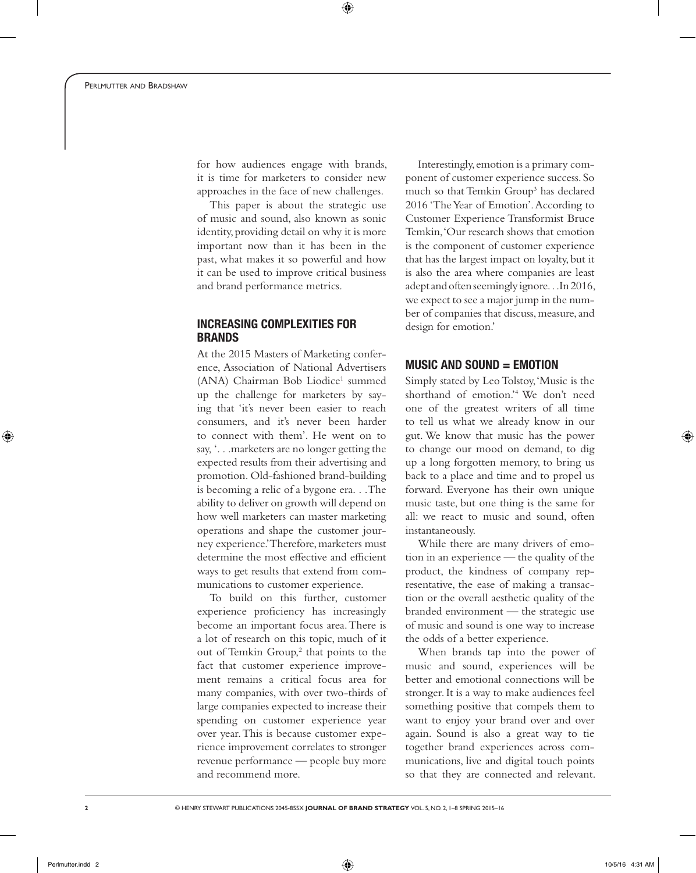for how audiences engage with brands, it is time for marketers to consider new approaches in the face of new challenges.

This paper is about the strategic use of music and sound, also known as sonic identity, providing detail on why it is more important now than it has been in the past, what makes it so powerful and how it can be used to improve critical business and brand performance metrics.

# Increasing Complexities for **BRANDS**

At the 2015 Masters of Marketing conference, Association of National Advertisers (ANA) Chairman Bob Liodice<sup>1</sup> summed up the challenge for marketers by saying that 'it's never been easier to reach consumers, and it's never been harder to connect with them'. He went on to say, '. . .marketers are no longer getting the expected results from their advertising and promotion. Old-fashioned brand-building is becoming a relic of a bygone era. . .The ability to deliver on growth will depend on how well marketers can master marketing operations and shape the customer journey experience.' Therefore, marketers must determine the most effective and efficient ways to get results that extend from communications to customer experience.

To build on this further, customer experience proficiency has increasingly become an important focus area. There is a lot of research on this topic, much of it out of Temkin Group,<sup>2</sup> that points to the fact that customer experience improvement remains a critical focus area for many companies, with over two-thirds of large companies expected to increase their spending on customer experience year over year. This is because customer experience improvement correlates to stronger revenue performance — people buy more and recommend more.

Interestingly, emotion is a primary component of customer experience success. So much so that Temkin Group<sup>3</sup> has declared 2016 'The Year of Emotion'. According to Customer Experience Transformist Bruce Temkin, 'Our research shows that emotion is the component of customer experience that has the largest impact on loyalty, but it is also the area where companies are least adept and often seemingly ignore. . .In 2016, we expect to see a major jump in the number of companies that discuss, measure, and design for emotion.'

# MUSIC AND SOUND  $=$  EMOTION

Simply stated by Leo Tolstoy, 'Music is the shorthand of emotion.'4 We don't need one of the greatest writers of all time to tell us what we already know in our gut. We know that music has the power to change our mood on demand, to dig up a long forgotten memory, to bring us back to a place and time and to propel us forward. Everyone has their own unique music taste, but one thing is the same for all: we react to music and sound, often instantaneously.

While there are many drivers of emotion in an experience — the quality of the product, the kindness of company representative, the ease of making a transaction or the overall aesthetic quality of the branded environment — the strategic use of music and sound is one way to increase the odds of a better experience.

When brands tap into the power of music and sound, experiences will be better and emotional connections will be stronger. It is a way to make audiences feel something positive that compels them to want to enjoy your brand over and over again. Sound is also a great way to tie together brand experiences across communications, live and digital touch points so that they are connected and relevant.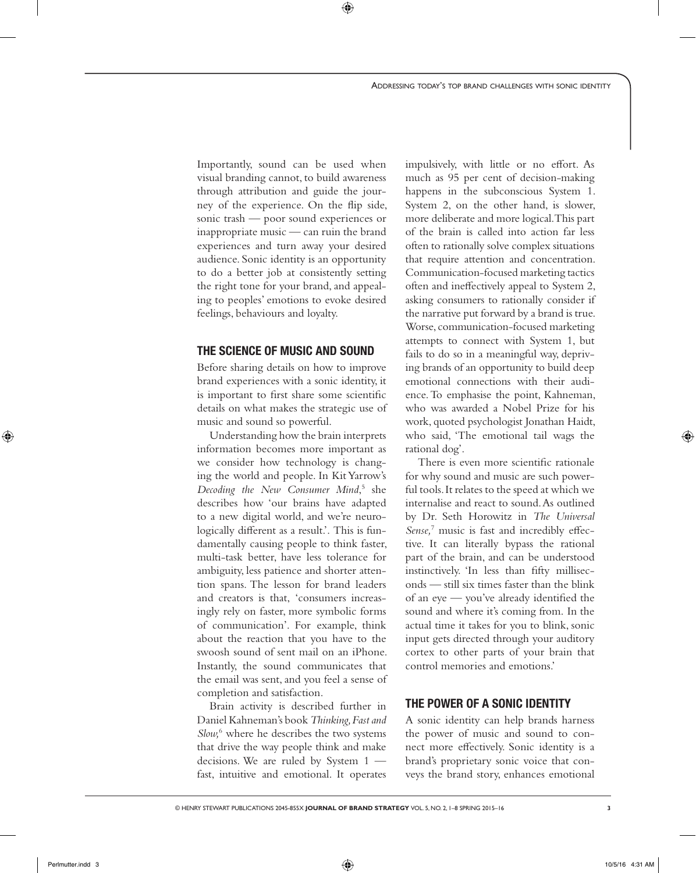Importantly, sound can be used when visual branding cannot, to build awareness through attribution and guide the journey of the experience. On the flip side, sonic trash — poor sound experiences or inappropriate music — can ruin the brand experiences and turn away your desired audience. Sonic identity is an opportunity to do a better job at consistently setting the right tone for your brand, and appealing to peoples' emotions to evoke desired feelings, behaviours and loyalty.

# The Science of Music and Sound

Before sharing details on how to improve brand experiences with a sonic identity, it is important to first share some scientific details on what makes the strategic use of music and sound so powerful.

Understanding how the brain interprets information becomes more important as we consider how technology is changing the world and people. In Kit Yarrow's Decoding the New Consumer Mind,<sup>5</sup> she describes how 'our brains have adapted to a new digital world, and we're neurologically different as a result.'. This is fundamentally causing people to think faster, multi-task better, have less tolerance for ambiguity, less patience and shorter attention spans. The lesson for brand leaders and creators is that, 'consumers increasingly rely on faster, more symbolic forms of communication'. For example, think about the reaction that you have to the swoosh sound of sent mail on an iPhone. Instantly, the sound communicates that the email was sent, and you feel a sense of completion and satisfaction.

Brain activity is described further in Daniel Kahneman's book *Thinking, Fast and*  Slow,<sup>6</sup> where he describes the two systems that drive the way people think and make decisions. We are ruled by System 1 fast, intuitive and emotional. It operates

impulsively, with little or no effort. As much as 95 per cent of decision-making happens in the subconscious System 1. System 2, on the other hand, is slower, more deliberate and more logical. This part of the brain is called into action far less often to rationally solve complex situations that require attention and concentration. Communication-focused marketing tactics often and ineffectively appeal to System 2, asking consumers to rationally consider if the narrative put forward by a brand is true. Worse, communication-focused marketing attempts to connect with System 1, but fails to do so in a meaningful way, depriving brands of an opportunity to build deep emotional connections with their audience. To emphasise the point, Kahneman, who was awarded a Nobel Prize for his work, quoted psychologist Jonathan Haidt, who said, 'The emotional tail wags the rational dog'.

There is even more scientific rationale for why sound and music are such powerful tools. It relates to the speed at which we internalise and react to sound. As outlined by Dr. Seth Horowitz in *The Universal Sense,*<sup>7</sup> music is fast and incredibly effective. It can literally bypass the rational part of the brain, and can be understood instinctively. 'In less than fifty milliseconds — still six times faster than the blink of an eye — you've already identified the sound and where it's coming from. In the actual time it takes for you to blink, sonic input gets directed through your auditory cortex to other parts of your brain that control memories and emotions.'

# The Power of a Sonic Identity

A sonic identity can help brands harness the power of music and sound to connect more effectively. Sonic identity is a brand's proprietary sonic voice that conveys the brand story, enhances emotional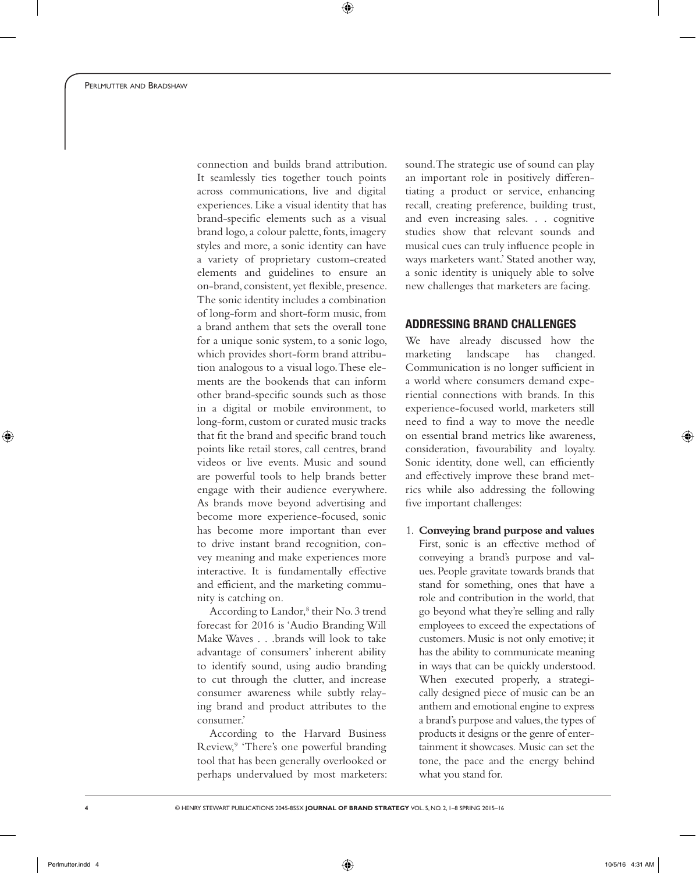connection and builds brand attribution. It seamlessly ties together touch points across communications, live and digital experiences. Like a visual identity that has brand-specific elements such as a visual brand logo, a colour palette, fonts, imagery styles and more, a sonic identity can have a variety of proprietary custom-created elements and guidelines to ensure an on-brand, consistent, yet flexible, presence. The sonic identity includes a combination of long-form and short-form music, from a brand anthem that sets the overall tone for a unique sonic system, to a sonic logo, which provides short-form brand attribution analogous to a visual logo. These elements are the bookends that can inform other brand-specific sounds such as those in a digital or mobile environment, to long-form, custom or curated music tracks that fit the brand and specific brand touch points like retail stores, call centres, brand videos or live events. Music and sound are powerful tools to help brands better engage with their audience everywhere. As brands move beyond advertising and become more experience-focused, sonic has become more important than ever to drive instant brand recognition, convey meaning and make experiences more interactive. It is fundamentally effective and efficient, and the marketing community is catching on.

According to Landor,<sup>8</sup> their No. 3 trend forecast for 2016 is 'Audio Branding Will Make Waves . . .brands will look to take advantage of consumers' inherent ability to identify sound, using audio branding to cut through the clutter, and increase consumer awareness while subtly relaying brand and product attributes to the consumer.'

According to the Harvard Business Review,<sup>9</sup> 'There's one powerful branding tool that has been generally overlooked or perhaps undervalued by most marketers:

sound. The strategic use of sound can play an important role in positively differentiating a product or service, enhancing recall, creating preference, building trust, and even increasing sales. . . cognitive studies show that relevant sounds and musical cues can truly influence people in ways marketers want.' Stated another way, a sonic identity is uniquely able to solve new challenges that marketers are facing.

# Addressing Brand Challenges

We have already discussed how the marketing landscape has changed. Communication is no longer sufficient in a world where consumers demand experiential connections with brands. In this experience-focused world, marketers still need to find a way to move the needle on essential brand metrics like awareness, consideration, favourability and loyalty. Sonic identity, done well, can efficiently and effectively improve these brand metrics while also addressing the following five important challenges:

1. **Conveying brand purpose and values** First, sonic is an effective method of conveying a brand's purpose and values. People gravitate towards brands that stand for something, ones that have a role and contribution in the world, that go beyond what they're selling and rally employees to exceed the expectations of customers. Music is not only emotive; it has the ability to communicate meaning in ways that can be quickly understood. When executed properly, a strategically designed piece of music can be an anthem and emotional engine to express a brand's purpose and values, the types of products it designs or the genre of entertainment it showcases. Music can set the tone, the pace and the energy behind what you stand for.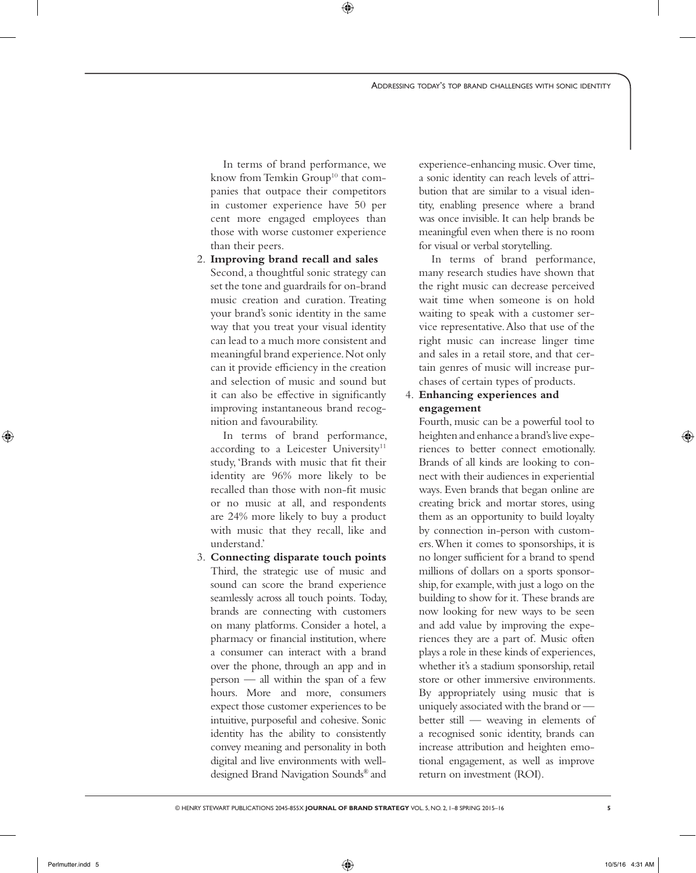In terms of brand performance, we know from Temkin Group<sup>10</sup> that companies that outpace their competitors in customer experience have 50 per cent more engaged employees than those with worse customer experience than their peers.

2. **Improving brand recall and sales** Second, a thoughtful sonic strategy can set the tone and guardrails for on-brand music creation and curation. Treating your brand's sonic identity in the same way that you treat your visual identity can lead to a much more consistent and meaningful brand experience. Not only can it provide efficiency in the creation and selection of music and sound but it can also be effective in significantly improving instantaneous brand recognition and favourability.

In terms of brand performance, according to a Leicester University<sup>11</sup> study, 'Brands with music that fit their identity are 96% more likely to be recalled than those with non-fit music or no music at all, and respondents are 24% more likely to buy a product with music that they recall, like and understand.'

3. **Connecting disparate touch points** Third, the strategic use of music and sound can score the brand experience seamlessly across all touch points. Today, brands are connecting with customers on many platforms. Consider a hotel, a pharmacy or financial institution, where a consumer can interact with a brand over the phone, through an app and in person — all within the span of a few hours. More and more, consumers expect those customer experiences to be intuitive, purposeful and cohesive. Sonic identity has the ability to consistently convey meaning and personality in both digital and live environments with welldesigned Brand Navigation Sounds® and

experience-enhancing music. Over time, a sonic identity can reach levels of attribution that are similar to a visual identity, enabling presence where a brand was once invisible. It can help brands be meaningful even when there is no room for visual or verbal storytelling.

In terms of brand performance, many research studies have shown that the right music can decrease perceived wait time when someone is on hold waiting to speak with a customer service representative. Also that use of the right music can increase linger time and sales in a retail store, and that certain genres of music will increase purchases of certain types of products.

# 4. **Enhancing experiences and engagement**

Fourth, music can be a powerful tool to heighten and enhance a brand's live experiences to better connect emotionally. Brands of all kinds are looking to connect with their audiences in experiential ways. Even brands that began online are creating brick and mortar stores, using them as an opportunity to build loyalty by connection in-person with customers. When it comes to sponsorships, it is no longer sufficient for a brand to spend millions of dollars on a sports sponsorship, for example, with just a logo on the building to show for it. These brands are now looking for new ways to be seen and add value by improving the experiences they are a part of. Music often plays a role in these kinds of experiences, whether it's a stadium sponsorship, retail store or other immersive environments. By appropriately using music that is uniquely associated with the brand or better still — weaving in elements of a recognised sonic identity, brands can increase attribution and heighten emotional engagement, as well as improve return on investment (ROI).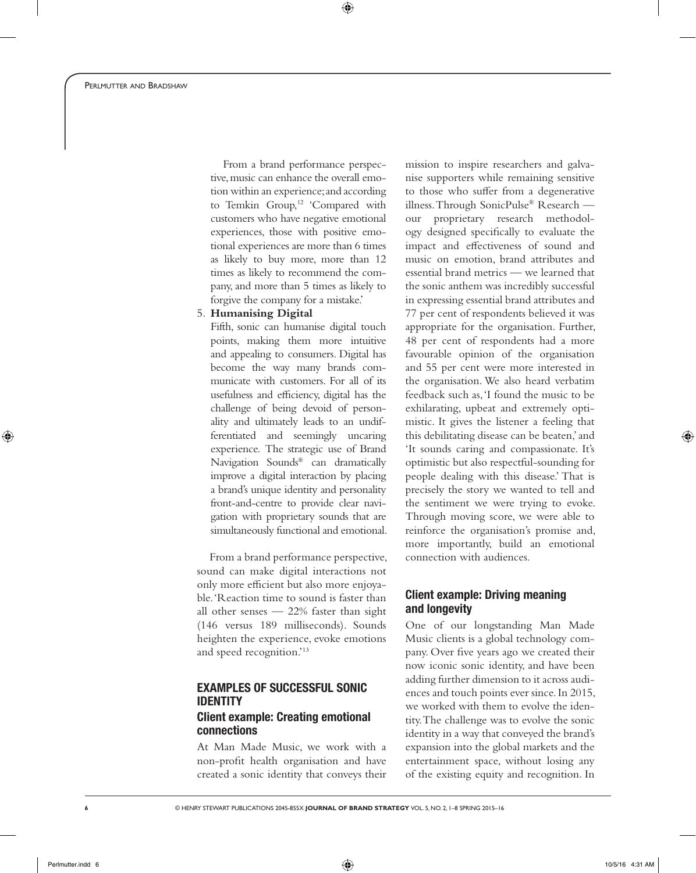From a brand performance perspective, music can enhance the overall emotion within an experience; and according to Temkin Group,<sup>12</sup> 'Compared with customers who have negative emotional experiences, those with positive emotional experiences are more than 6 times as likely to buy more, more than 12 times as likely to recommend the company, and more than 5 times as likely to forgive the company for a mistake.'

#### 5. **Humanising Digital**

Fifth, sonic can humanise digital touch points, making them more intuitive and appealing to consumers. Digital has become the way many brands communicate with customers. For all of its usefulness and efficiency, digital has the challenge of being devoid of personality and ultimately leads to an undifferentiated and seemingly uncaring experience. The strategic use of Brand Navigation Sounds® can dramatically improve a digital interaction by placing a brand's unique identity and personality front-and-centre to provide clear navigation with proprietary sounds that are simultaneously functional and emotional.

From a brand performance perspective, sound can make digital interactions not only more efficient but also more enjoyable. 'Reaction time to sound is faster than all other senses — 22% faster than sight (146 versus 189 milliseconds). Sounds heighten the experience, evoke emotions and speed recognition.'13

# Examples of Successful Sonic **IDENTITY** Client example: Creating emotional

# connections

At Man Made Music, we work with a non-profit health organisation and have created a sonic identity that conveys their mission to inspire researchers and galvanise supporters while remaining sensitive to those who suffer from a degenerative illness. Through SonicPulse® Research our proprietary research methodology designed specifically to evaluate the impact and effectiveness of sound and music on emotion, brand attributes and essential brand metrics — we learned that the sonic anthem was incredibly successful in expressing essential brand attributes and 77 per cent of respondents believed it was appropriate for the organisation. Further, 48 per cent of respondents had a more favourable opinion of the organisation and 55 per cent were more interested in the organisation. We also heard verbatim feedback such as, 'I found the music to be exhilarating, upbeat and extremely optimistic. It gives the listener a feeling that this debilitating disease can be beaten,' and 'It sounds caring and compassionate. It's optimistic but also respectful-sounding for people dealing with this disease.' That is precisely the story we wanted to tell and the sentiment we were trying to evoke. Through moving score, we were able to reinforce the organisation's promise and, more importantly, build an emotional connection with audiences.

# Client example: Driving meaning and longevity

One of our longstanding Man Made Music clients is a global technology company. Over five years ago we created their now iconic sonic identity, and have been adding further dimension to it across audiences and touch points ever since. In 2015, we worked with them to evolve the identity. The challenge was to evolve the sonic identity in a way that conveyed the brand's expansion into the global markets and the entertainment space, without losing any of the existing equity and recognition. In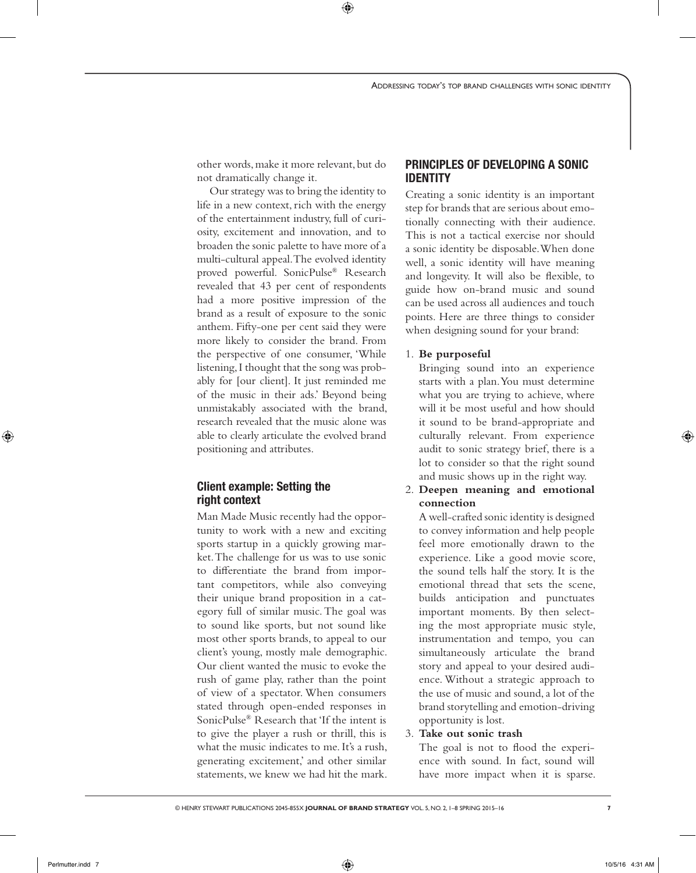other words, make it more relevant, but do not dramatically change it.

Our strategy was to bring the identity to life in a new context, rich with the energy of the entertainment industry, full of curiosity, excitement and innovation, and to broaden the sonic palette to have more of a multi-cultural appeal. The evolved identity proved powerful. SonicPulse® Research revealed that 43 per cent of respondents had a more positive impression of the brand as a result of exposure to the sonic anthem. Fifty-one per cent said they were more likely to consider the brand. From the perspective of one consumer, 'While listening, I thought that the song was probably for [our client]. It just reminded me of the music in their ads.' Beyond being unmistakably associated with the brand, research revealed that the music alone was able to clearly articulate the evolved brand positioning and attributes.

# Client example: Setting the right context

Man Made Music recently had the opportunity to work with a new and exciting sports startup in a quickly growing market. The challenge for us was to use sonic to differentiate the brand from important competitors, while also conveying their unique brand proposition in a category full of similar music. The goal was to sound like sports, but not sound like most other sports brands, to appeal to our client's young, mostly male demographic. Our client wanted the music to evoke the rush of game play, rather than the point of view of a spectator. When consumers stated through open-ended responses in SonicPulse® Research that 'If the intent is to give the player a rush or thrill, this is what the music indicates to me. It's a rush, generating excitement,' and other similar statements, we knew we had hit the mark.

# Principles of Developing a Sonic **IDENTITY**

Creating a sonic identity is an important step for brands that are serious about emotionally connecting with their audience. This is not a tactical exercise nor should a sonic identity be disposable. When done well, a sonic identity will have meaning and longevity. It will also be flexible, to guide how on-brand music and sound can be used across all audiences and touch points. Here are three things to consider when designing sound for your brand:

## 1. **Be purposeful**

Bringing sound into an experience starts with a plan. You must determine what you are trying to achieve, where will it be most useful and how should it sound to be brand-appropriate and culturally relevant. From experience audit to sonic strategy brief, there is a lot to consider so that the right sound and music shows up in the right way.

2. **Deepen meaning and emotional connection**

A well-crafted sonic identity is designed to convey information and help people feel more emotionally drawn to the experience. Like a good movie score, the sound tells half the story. It is the emotional thread that sets the scene, builds anticipation and punctuates important moments. By then selecting the most appropriate music style, instrumentation and tempo, you can simultaneously articulate the brand story and appeal to your desired audience. Without a strategic approach to the use of music and sound, a lot of the brand storytelling and emotion-driving opportunity is lost.

3. **Take out sonic trash**

The goal is not to flood the experience with sound. In fact, sound will have more impact when it is sparse.